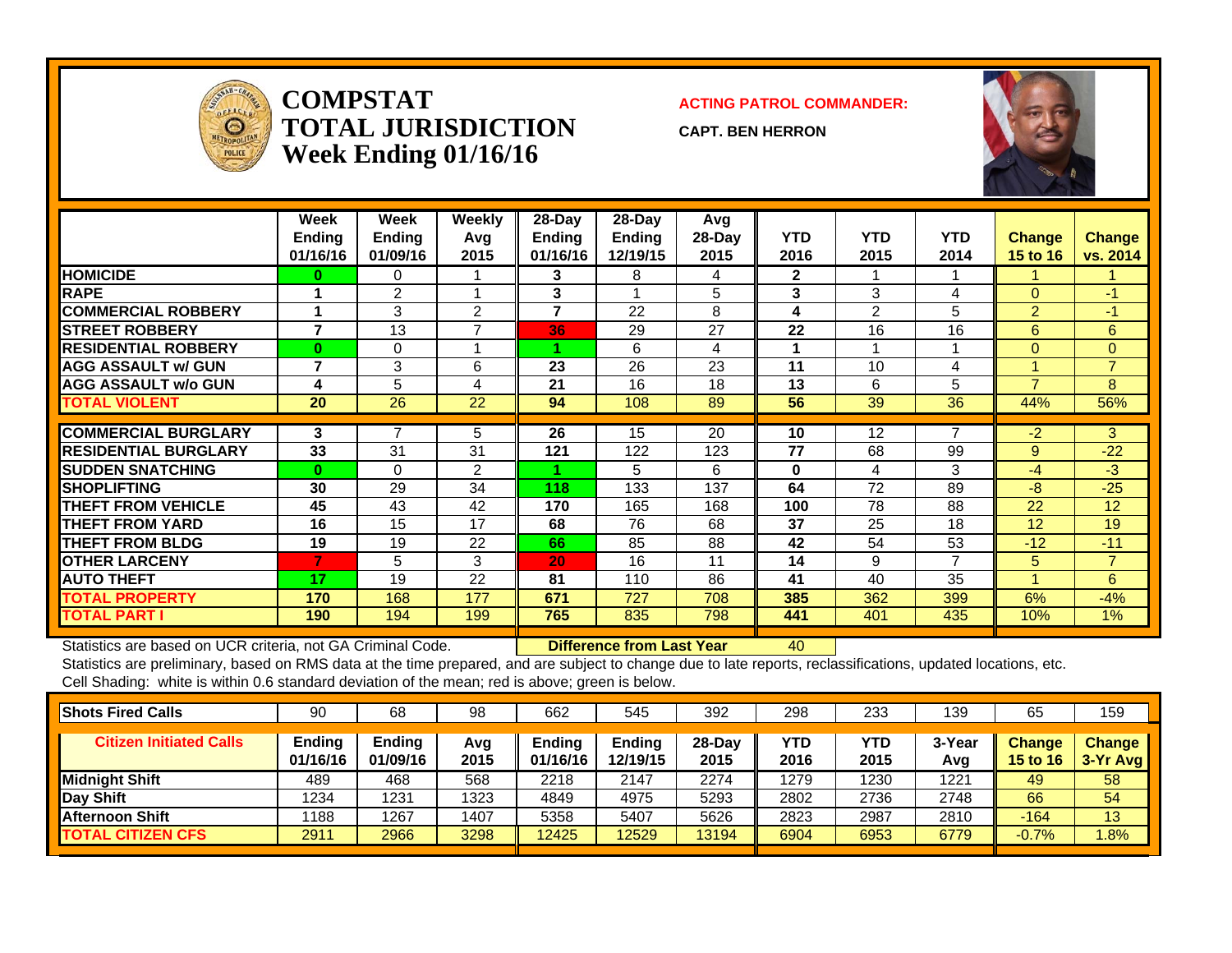

**COMPSTATTOTAL JURISDICTIONWeek Ending 01/16/16**

**ACTING PATROL COMMANDER:**

**CAPT. BEN HERRON**



|                             | Week<br><b>Ending</b><br>01/16/16 | Week<br><b>Ending</b><br>01/09/16 | Weekly<br>Avq<br>2015 | $28-Day$<br><b>Ending</b><br>01/16/16 | $28$ -Day<br><b>Ending</b><br>12/19/15 | Avg<br>28-Day<br>2015 | <b>YTD</b><br>2016 | <b>YTD</b><br>2015 | <b>YTD</b><br>2014 | <b>Change</b><br>15 to 16 | <b>Change</b><br>vs. 2014 |
|-----------------------------|-----------------------------------|-----------------------------------|-----------------------|---------------------------------------|----------------------------------------|-----------------------|--------------------|--------------------|--------------------|---------------------------|---------------------------|
| <b>HOMICIDE</b>             | 0                                 | 0                                 |                       | 3                                     | 8                                      | 4                     | $\mathbf{2}$       |                    |                    |                           |                           |
| <b>RAPE</b>                 |                                   | 2                                 |                       | 3                                     |                                        | 5                     | 3                  | 3                  | 4                  | $\Omega$                  | -1                        |
| <b>COMMERCIAL ROBBERY</b>   |                                   | 3                                 | 2                     | $\overline{7}$                        | 22                                     | 8                     | 4                  | 2                  | 5                  | $\overline{2}$            | -1                        |
| <b>ISTREET ROBBERY</b>      | 7                                 | 13                                | $\overline{ }$        | 36                                    | 29                                     | 27                    | 22                 | 16                 | 16                 | 6                         | 6                         |
| <b>IRESIDENTIAL ROBBERY</b> | $\bf{0}$                          | 0                                 |                       |                                       | 6                                      | 4                     | 1                  |                    |                    | $\Omega$                  | $\Omega$                  |
| <b>AGG ASSAULT w/ GUN</b>   | 7                                 | 3                                 | 6                     | 23                                    | 26                                     | 23                    | 11                 | 10                 | 4                  |                           | $\overline{7}$            |
| <b>AGG ASSAULT w/o GUN</b>  | 4                                 | 5                                 | 4                     | 21                                    | 16                                     | 18                    | 13                 | 6                  | 5                  | ⇁                         | 8                         |
| <b>TOTAL VIOLENT</b>        | 20                                | 26                                | 22                    | 94                                    | 108                                    | 89                    | 56                 | 39                 | 36                 | 44%                       | 56%                       |
|                             |                                   |                                   |                       |                                       |                                        |                       |                    |                    |                    |                           |                           |
| <b>ICOMMERCIAL BURGLARY</b> | 3                                 | 7                                 | 5                     | 26                                    | 15                                     | 20                    | 10                 | 12                 | $\overline{7}$     | $-2$                      | 3                         |
| <b>RESIDENTIAL BURGLARY</b> | 33                                | 31                                | 31                    | 121                                   | 122                                    | 123                   | 77                 | 68                 | 99                 | 9                         | $-22$                     |
| <b>SUDDEN SNATCHING</b>     | $\bf{0}$                          | $\Omega$                          | $\overline{2}$        |                                       | 5                                      | 6                     | $\bf{0}$           | 4                  | 3                  | -4                        | -3                        |
| <b>ISHOPLIFTING</b>         | 30                                | 29                                | 34                    | 118                                   | 133                                    | 137                   | 64                 | 72                 | 89                 | -8                        | $-25$                     |
| <b>THEFT FROM VEHICLE</b>   | 45                                | 43                                | 42                    | 170                                   | 165                                    | 168                   | 100                | 78                 | 88                 | 22                        | 12                        |
| <b>THEFT FROM YARD</b>      | 16                                | 15                                | 17                    | 68                                    | 76                                     | 68                    | 37                 | 25                 | 18                 | 12                        | 19                        |
| <b>THEFT FROM BLDG</b>      | 19                                | 19                                | 22                    | 66                                    | 85                                     | 88                    | 42                 | 54                 | 53                 | $-12$                     | $-11$                     |
| <b>OTHER LARCENY</b>        | 7                                 | 5                                 | 3                     | 20                                    | 16                                     | 11                    | 14                 | 9                  | $\overline{7}$     | 5                         | $\overline{7}$            |
| <b>AUTO THEFT</b>           | 17                                | 19                                | 22                    | 81                                    | 110                                    | 86                    | 41                 | 40                 | 35                 |                           | 6                         |
| <b>TOTAL PROPERTY</b>       | 170                               | 168                               | 177                   | 671                                   | 727                                    | 708                   | 385                | 362                | 399                | 6%                        | $-4%$                     |
| <b>TOTAL PART I</b>         | 190                               | 194                               | 199                   | 765                                   | 835                                    | 798                   | 441                | 401                | 435                | 10%                       | 1%                        |

Statistics are based on UCR criteria, not GA Criminal Code. **Difference from Last Year** 40

| <b>Shots Fired Calls</b>       | 90                        | 68                 | 98          | 662                | 545                       | 392              | 298         | 233         | 139           | 65                               | 159                         |
|--------------------------------|---------------------------|--------------------|-------------|--------------------|---------------------------|------------------|-------------|-------------|---------------|----------------------------------|-----------------------------|
| <b>Citizen Initiated Calls</b> | <b>Ending</b><br>01/16/16 | Ending<br>01/09/16 | Avg<br>2015 | Endina<br>01/16/16 | <b>Ending</b><br>12/19/15 | $28-Dav$<br>2015 | YTD<br>2016 | YTD<br>2015 | 3-Year<br>Avg | <b>Change</b><br><b>15 to 16</b> | <b>Change</b><br>$3-Yr$ Avg |
| Midnight Shift                 | 489                       | 468                | 568         | 2218               | 2147                      | 2274             | 1279        | 1230        | 1221          | 49                               | 58                          |
| Day Shift                      | 1234                      | 1231               | 1323        | 4849               | 4975                      | 5293             | 2802        | 2736        | 2748          | 66                               | 54                          |
| Afternoon Shift                | 1188                      | 1267               | 1407        | 5358               | 5407                      | 5626             | 2823        | 2987        | 2810          | $-164$                           | 13                          |
| <b>TOTAL CITIZEN CFS</b>       | 2911                      | 2966               | 3298        | 12425              | 12529                     | 13194            | 6904        | 6953        | 6779          | $-0.7%$                          | .8%                         |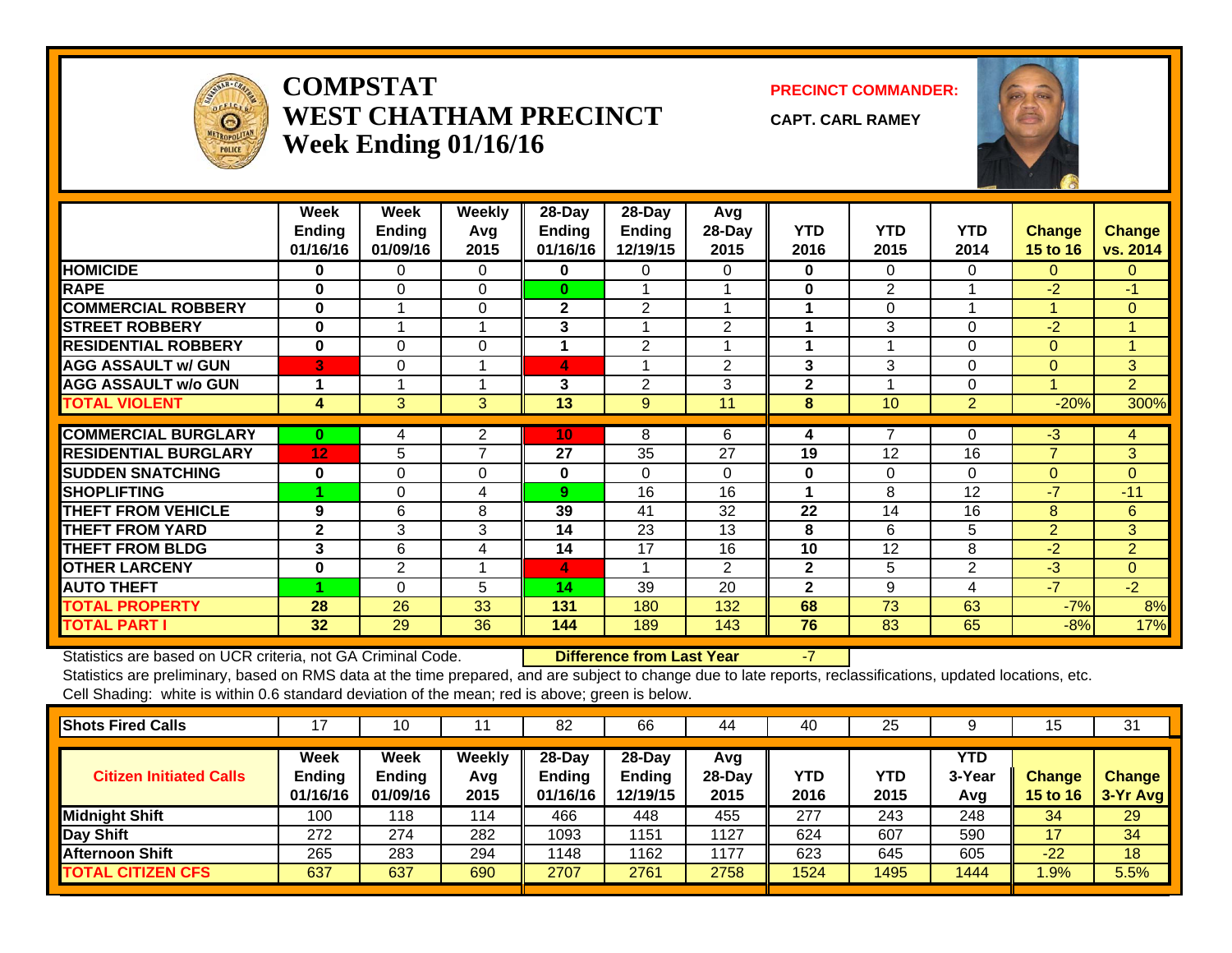

### **COMPSTATWEST CHATHAM PRECINCTWeek Ending 01/16/16**

**PRECINCT COMMANDER:**

**CAPT. CARL RAMEY**



|                             | Week<br><b>Ending</b><br>01/16/16 | Week<br><b>Ending</b><br>01/09/16 | <b>Weekly</b><br>Avg<br>2015 | 28-Day<br><b>Ending</b><br>01/16/16 | 28-Day<br>Ending<br>12/19/15 | Avg<br>28-Day<br>2015 | <b>YTD</b><br>2016 | <b>YTD</b><br>2015 | <b>YTD</b><br>2014 | Change<br>15 to 16 | <b>Change</b><br>vs. 2014 |
|-----------------------------|-----------------------------------|-----------------------------------|------------------------------|-------------------------------------|------------------------------|-----------------------|--------------------|--------------------|--------------------|--------------------|---------------------------|
| <b>HOMICIDE</b>             | $\bf{0}$                          | $\Omega$                          | $\Omega$                     | $\mathbf{0}$                        | $\Omega$                     | 0                     | $\bf{0}$           | 0                  | $\Omega$           | 0                  | $\mathbf{0}$              |
| <b>RAPE</b>                 | $\bf{0}$                          | $\Omega$                          | $\Omega$                     | $\bf{0}$                            |                              |                       | $\bf{0}$           | 2                  |                    | $-2$               | $-1$                      |
| <b>COMMERCIAL ROBBERY</b>   | $\bf{0}$                          |                                   | $\Omega$                     | $\mathbf{2}$                        | 2                            |                       | 1                  | $\Omega$           | $\overline{ }$     | 1                  | $\overline{0}$            |
| <b>STREET ROBBERY</b>       | $\mathbf{0}$                      |                                   |                              | 3                                   |                              | $\overline{2}$        | 1                  | 3                  | $\Omega$           | $-2$               |                           |
| <b>RESIDENTIAL ROBBERY</b>  | $\mathbf 0$                       | $\Omega$                          | $\Omega$                     |                                     | $\overline{2}$               |                       | 1                  |                    | $\Omega$           | $\Omega$           |                           |
| <b>AGG ASSAULT w/ GUN</b>   | 3                                 | $\mathbf 0$                       |                              | 4                                   |                              | $\overline{2}$        | 3                  | 3                  | 0                  | $\mathbf{0}$       | 3                         |
| <b>AGG ASSAULT w/o GUN</b>  |                                   |                                   |                              | 3                                   | $\overline{2}$               | 3                     | $\mathbf{2}$       |                    | 0                  |                    | $\overline{2}$            |
| <b>TOTAL VIOLENT</b>        | 4                                 | 3                                 | 3                            | 13                                  | 9                            | 11                    | 8                  | 10                 | $\overline{2}$     | $-20%$             | 300%                      |
|                             |                                   |                                   |                              |                                     |                              |                       |                    |                    |                    |                    |                           |
| <b>COMMERCIAL BURGLARY</b>  | $\bf{0}$                          | 4                                 | $\overline{2}$               | 10                                  | 8                            | 6                     | 4                  |                    | 0                  | $-3$               | 4                         |
| <b>RESIDENTIAL BURGLARY</b> | 12                                | 5                                 | $\overline{\phantom{a}}$     | 27                                  | 35                           | 27                    | 19                 | 12                 | 16                 | $\overline{7}$     | $\overline{3}$            |
| <b>SUDDEN SNATCHING</b>     | 0                                 | $\mathbf 0$                       | $\Omega$                     | $\mathbf 0$                         | $\Omega$                     | 0                     | 0                  | 0                  | $\Omega$           | $\mathbf{0}$       | $\mathbf{0}$              |
| <b>SHOPLIFTING</b>          |                                   | $\Omega$                          | 4                            | 9                                   | 16                           | 16                    |                    | 8                  | 12                 | $-7$               | $-11$                     |
| <b>THEFT FROM VEHICLE</b>   | 9                                 | 6                                 | 8                            | 39                                  | 41                           | 32                    | 22                 | 14                 | 16                 | 8                  | 6                         |
| <b>THEFT FROM YARD</b>      | $\mathbf{2}$                      | 3                                 | 3                            | 14                                  | 23                           | 13                    | 8                  | 6                  | 5                  | $\overline{2}$     | 3 <sup>1</sup>            |
| <b>THEFT FROM BLDG</b>      | 3                                 | 6                                 | 4                            | 14                                  | 17                           | 16                    | 10                 | 12                 | 8                  | $-2$               | $\overline{2}$            |
| <b>OTHER LARCENY</b>        | 0                                 | $\overline{2}$                    |                              | 4                                   |                              | 2                     | $\mathbf{2}$       | 5                  | $\overline{2}$     | $-3$               | $\overline{0}$            |
| <b>AUTO THEFT</b>           |                                   | $\Omega$                          | 5                            | 14                                  | 39                           | 20                    | $\mathbf{2}$       | 9                  | 4                  | $-7$               | $-2$                      |
| <b>TOTAL PROPERTY</b>       | 28                                | 26                                | 33                           | 131                                 | 180                          | 132                   | 68                 | 73                 | 63                 | $-7%$              | 8%                        |
| <b>TOTAL PART I</b>         | 32                                | 29                                | 36                           | 144                                 | 189                          | 143                   | 76                 | 83                 | 65                 | $-8%$              | 17%                       |

Statistics are based on UCR criteria, not GA Criminal Code. **Difference from Last Year** -7

| <b>Shots Fired Calls</b>       | 17                                       | 10                                       |                       | 82                                     | 66                             | 44                      | 40          | 25          |                             | 15                               | 31                        |
|--------------------------------|------------------------------------------|------------------------------------------|-----------------------|----------------------------------------|--------------------------------|-------------------------|-------------|-------------|-----------------------------|----------------------------------|---------------------------|
| <b>Citizen Initiated Calls</b> | <b>Week</b><br><b>Ending</b><br>01/16/16 | <b>Week</b><br><b>Ending</b><br>01/09/16 | Weekly<br>Avg<br>2015 | $28$ -Day<br><b>Ending</b><br>01/16/16 | $28-Dav$<br>Ending<br>12/19/15 | Avg<br>$28-Day$<br>2015 | YTD<br>2016 | YTD<br>2015 | <b>YTD</b><br>3-Year<br>Avg | <b>Change</b><br><b>15 to 16</b> | <b>Change</b><br>3-Yr Avg |
| <b>Midnight Shift</b>          | 100                                      | ∣18                                      | 114                   | 466                                    | 448                            | 455                     | 277         | 243         | 248                         | 34                               | 29                        |
| <b>Day Shift</b>               | 272                                      | 274                                      | 282                   | 1093                                   | 151                            | 1127                    | 624         | 607         | 590                         | 17                               | 34                        |
| <b>Afternoon Shift</b>         | 265                                      | 283                                      | 294                   | 1148                                   | 1162                           | 1177                    | 623         | 645         | 605                         | $-22$                            | 18                        |
| <b>TOTAL CITIZEN CFS</b>       | 637                                      | 637                                      | 690                   | 2707                                   | 2761                           | 2758                    | 1524        | 1495        | 1444                        | $.9\%$                           | 5.5%                      |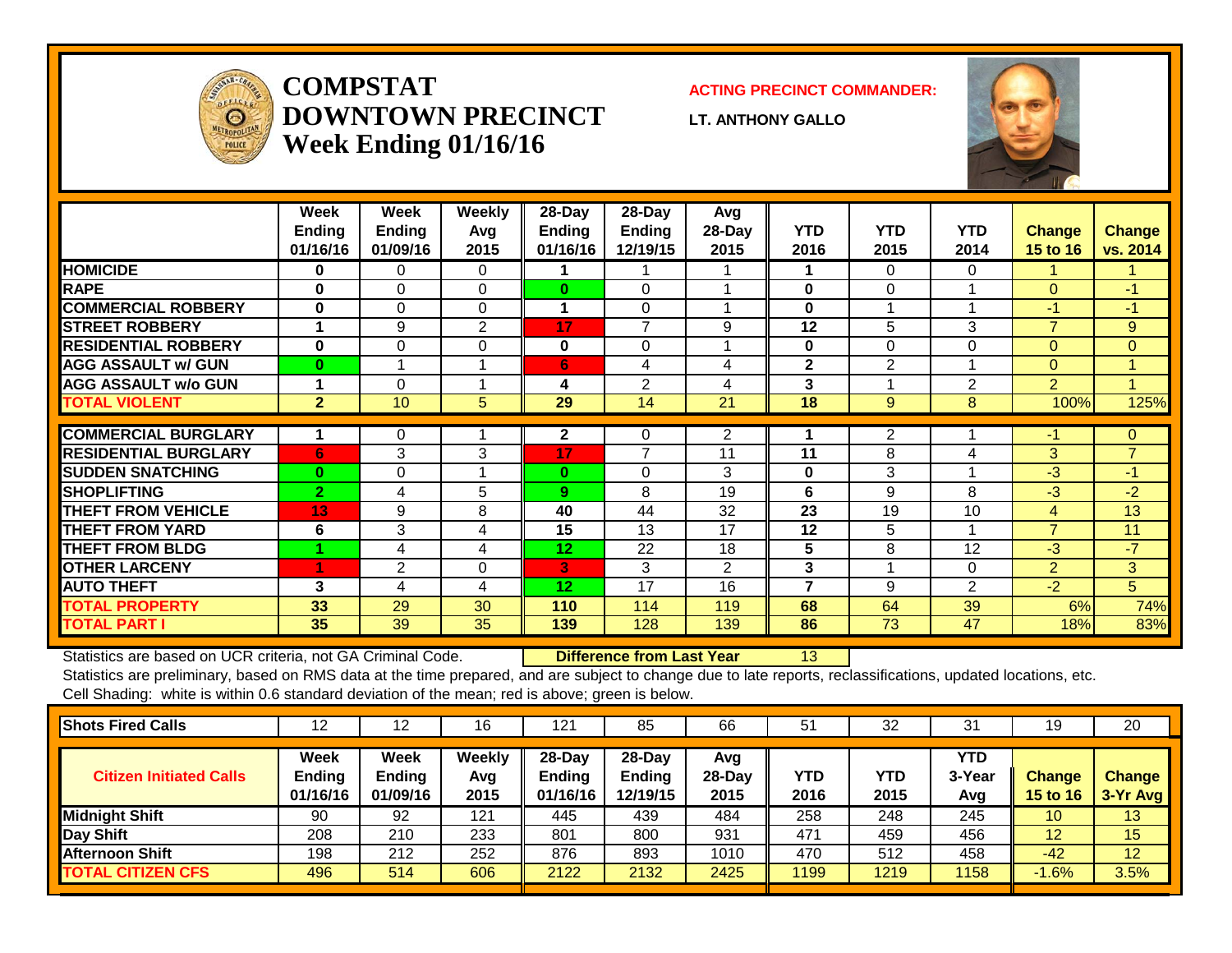

## **COMPSTATDOWNTOWN PRECINCTWeek Ending 01/16/16**

#### **ACTING PRECINCT COMMANDER:**

**LT. ANTHONY GALLO**



|                             | Week<br><b>Ending</b><br>01/16/16 | Week<br><b>Ending</b><br>01/09/16 | Weekly<br>Avg<br>2015 | 28-Day<br><b>Ending</b><br>01/16/16 | $28$ -Day<br>Ending<br>12/19/15 | Avg<br>28-Day<br>2015 | <b>YTD</b><br>2016 | <b>YTD</b><br>2015 | <b>YTD</b><br>2014 | <b>Change</b><br>15 to 16 | <b>Change</b><br>vs. 2014 |
|-----------------------------|-----------------------------------|-----------------------------------|-----------------------|-------------------------------------|---------------------------------|-----------------------|--------------------|--------------------|--------------------|---------------------------|---------------------------|
| <b>HOMICIDE</b>             | 0                                 | 0                                 | 0                     |                                     |                                 |                       | 1                  | $\mathbf{0}$       | $\mathbf{0}$       |                           |                           |
| <b>RAPE</b>                 | $\bf{0}$                          | $\Omega$                          | $\Omega$              | $\bf{0}$                            | $\Omega$                        |                       | $\bf{0}$           | $\Omega$           |                    | $\Omega$                  | $-1$                      |
| <b>COMMERCIAL ROBBERY</b>   | 0                                 | 0                                 | $\Omega$              | 1                                   | $\Omega$                        |                       | $\bf{0}$           |                    |                    | $-1$                      | $-1$                      |
| <b>ISTREET ROBBERY</b>      | 1                                 | 9                                 | $\overline{2}$        | 17                                  | $\overline{7}$                  | 9                     | 12                 | 5                  | 3                  | $\overline{7}$            | 9                         |
| <b>RESIDENTIAL ROBBERY</b>  | $\bf{0}$                          | $\Omega$                          | $\Omega$              | 0                                   | $\Omega$                        |                       | $\bf{0}$           | 0                  | $\Omega$           | $\Omega$                  | $\Omega$                  |
| <b>AGG ASSAULT w/ GUN</b>   | $\bf{0}$                          |                                   |                       | 6 <sup>1</sup>                      | 4                               | 4                     | $\mathbf{2}$       | $\overline{2}$     |                    | $\Omega$                  | $\blacktriangleleft$      |
| <b>AGG ASSAULT w/o GUN</b>  |                                   | $\Omega$                          |                       | 4                                   | $\overline{2}$                  | 4                     | 3                  |                    | $\overline{2}$     | $\overline{2}$            | $\overline{A}$            |
| <b>TOTAL VIOLENT</b>        | $\overline{2}$                    | 10                                | 5                     | 29                                  | 14                              | 21                    | 18                 | 9                  | 8                  | 100%                      | 125%                      |
| <b>COMMERCIAL BURGLARY</b>  |                                   | 0                                 |                       | 2                                   | 0                               | 2                     |                    | 2                  |                    | $-1$                      | $\mathbf{0}$              |
| <b>RESIDENTIAL BURGLARY</b> | 6                                 | 3                                 | 3                     | 17                                  | 7                               | 11                    | 11                 | 8                  | 4                  | 3                         | $\overline{7}$            |
| <b>SUDDEN SNATCHING</b>     | $\bf{0}$                          | 0                                 |                       | $\bf{0}$                            | $\Omega$                        | 3                     | $\bf{0}$           | 3                  |                    | $-3$                      | $-1$                      |
|                             |                                   |                                   |                       |                                     |                                 |                       |                    |                    |                    |                           |                           |
| <b>SHOPLIFTING</b>          | $\overline{2}$                    | 4                                 | 5                     | 9                                   | 8                               | 19                    | 6                  | 9                  | 8                  | $-3$                      | $-2$                      |
| <b>THEFT FROM VEHICLE</b>   | 13                                | 9                                 | 8                     | 40                                  | 44                              | 32                    | 23                 | 19                 | 10                 | 4                         | 13                        |
| <b>THEFT FROM YARD</b>      | 6                                 | 3                                 | 4                     | 15                                  | 13                              | 17                    | 12                 | 5                  | 4                  | $\overline{7}$            | 11                        |
| <b>THEFT FROM BLDG</b>      |                                   | 4                                 | 4                     | 12                                  | 22                              | 18                    | 5                  | 8                  | 12                 | $-3$                      | $-7$                      |
| <b>OTHER LARCENY</b>        | 4                                 | $\mathbf{2}$                      | $\Omega$              | 3                                   | 3                               | $\overline{2}$        | 3                  |                    | $\Omega$           | $\overline{2}$            | 3                         |
| <b>AUTO THEFT</b>           | 3                                 | 4                                 | 4                     | 12                                  | 17                              | 16                    | $\overline{7}$     | 9                  | 2                  | $-2$                      | 5 <sup>5</sup>            |
| <b>TOTAL PROPERTY</b>       | 33                                | 29                                | 30                    | 110                                 | 114                             | 119                   | 68                 | 64                 | 39                 | 6%                        | 74%                       |
| <b>TOTAL PART I</b>         | 35                                | 39                                | 35                    | 139                                 | 128                             | 139                   | 86                 | 73                 | 47                 | 18%                       | 83%                       |

Statistics are based on UCR criteria, not GA Criminal Code. **Difference from Last Year** 13

| <b>Shots Fired Calls</b>       | 1 Z.                       |                                   | 16                    | 21                                  | 85                             | 66                      | 51                 | 32          | • 1<br>ت             | 19                               | 20                        |
|--------------------------------|----------------------------|-----------------------------------|-----------------------|-------------------------------------|--------------------------------|-------------------------|--------------------|-------------|----------------------|----------------------------------|---------------------------|
| <b>Citizen Initiated Calls</b> | Week<br>Ending<br>01/16/16 | Week<br><b>Ending</b><br>01/09/16 | Weekly<br>Avg<br>2015 | 28-Day<br><b>Ending</b><br>01/16/16 | $28-Dav$<br>Ending<br>12/19/15 | Avg<br>$28-Day$<br>2015 | <b>YTD</b><br>2016 | YTD<br>2015 | YTD<br>3-Year<br>Avg | <b>Change</b><br><b>15 to 16</b> | <b>Change</b><br>3-Yr Avg |
| Midnight Shift                 | 90                         | 92                                | 121                   | 445                                 | 439                            | 484                     | 258                | 248         | 245                  | 10                               | 13                        |
| Day Shift                      | 208                        | 210                               | 233                   | 801                                 | 800                            | 931                     | 471                | 459         | 456                  | 12                               | 15                        |
| <b>Afternoon Shift</b>         | 198                        | 212                               | 252                   | 876                                 | 893                            | 1010                    | 470                | 512         | 458                  | $-42$                            | 12                        |
| <b>TOTAL CITIZEN CFS</b>       | 496                        | 514                               | 606                   | 2122                                | 2132                           | 2425                    | 199                | 1219        | 1158                 | $-1.6%$                          | 3.5%                      |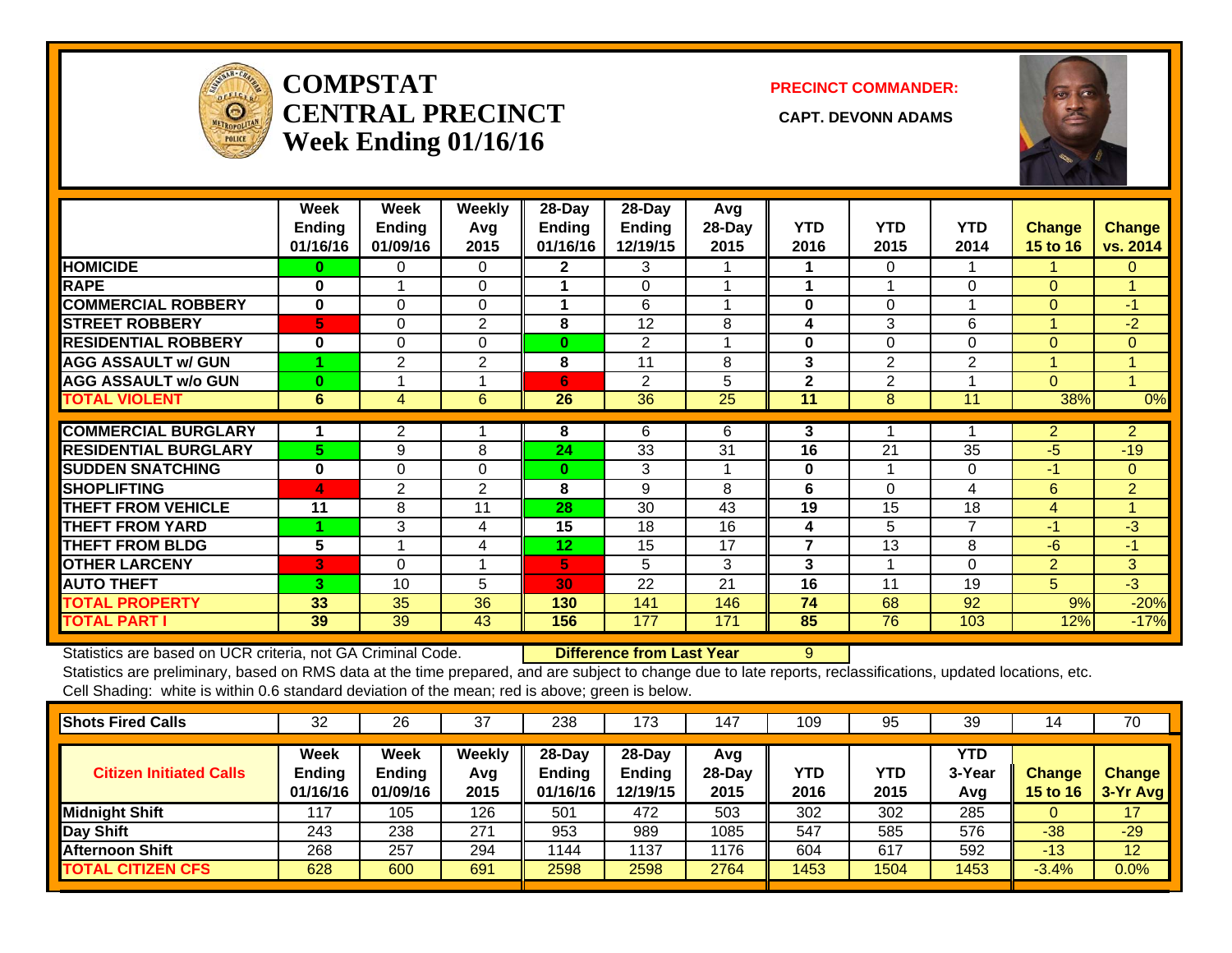

### **COMPSTATCENTRAL PRECINCT** CAPT. DEVONN ADAMS **Week Ending 01/16/16**

#### **PRECINCT COMMANDER:**



|                             | Week          | Week           | <b>Weekly</b>  | 28-Day          | 28-Day         | Avg    |              |                |                |                 |                |
|-----------------------------|---------------|----------------|----------------|-----------------|----------------|--------|--------------|----------------|----------------|-----------------|----------------|
|                             | <b>Ending</b> | <b>Ending</b>  | Avq            | Ending          | <b>Ending</b>  | 28-Day | <b>YTD</b>   | <b>YTD</b>     | <b>YTD</b>     | <b>Change</b>   | <b>Change</b>  |
|                             | 01/16/16      | 01/09/16       | 2015           | 01/16/16        | 12/19/15       | 2015   | 2016         | 2015           | 2014           | <b>15 to 16</b> | vs. 2014       |
| <b>HOMICIDE</b>             | 0             | 0              | $\Omega$       | $\mathbf{2}$    | 3              |        |              | 0              |                |                 | $\Omega$       |
| <b>RAPE</b>                 | 0             |                | $\Omega$       |                 | $\Omega$       |        |              |                | $\Omega$       | $\Omega$        |                |
| <b>COMMERCIAL ROBBERY</b>   | $\bf{0}$      | $\Omega$       | $\Omega$       | 1               | 6              | 4      | $\bf{0}$     | 0              |                | $\Omega$        | $-1$           |
| <b>STREET ROBBERY</b>       | 5             | 0              | 2              | 8               | 12             | 8      | 4            | 3              | 6              |                 | $-2$           |
| <b>RESIDENTIAL ROBBERY</b>  | $\bf{0}$      | $\Omega$       | $\Omega$       | 0               | $\overline{2}$ |        | $\bf{0}$     | 0              | $\Omega$       | $\Omega$        | $\Omega$       |
| <b>AGG ASSAULT w/ GUN</b>   |               | 2              | $\overline{2}$ | 8               | 11             | 8      | 3            | 2              | $\overline{2}$ |                 |                |
| <b>AGG ASSAULT w/o GUN</b>  | $\bf{0}$      |                |                | 6               | $\overline{2}$ | 5      | $\mathbf{2}$ | $\overline{2}$ |                | $\Omega$        |                |
| <b>TOTAL VIOLENT</b>        | 6             | 4              | 6              | 26              | 36             | 25     | 11           | 8              | 11             | 38%             | 0%             |
| <b>COMMERCIAL BURGLARY</b>  |               |                |                |                 | 6              | 6      |              |                |                |                 |                |
|                             |               | $\overline{2}$ |                | 8               |                |        | 3            |                |                | $\overline{2}$  | $\overline{2}$ |
| <b>RESIDENTIAL BURGLARY</b> | 5             | 9              | 8              | 24              | 33             | 31     | 16           | 21             | 35             | -5              | $-19$          |
| <b>SUDDEN SNATCHING</b>     | $\bf{0}$      | $\Omega$       | $\Omega$       | $\bf{0}$        | 3              |        | $\bf{0}$     |                | $\Omega$       | -1              | $\Omega$       |
| <b>SHOPLIFTING</b>          | 4             | 2              | 2              | 8               | 9              | 8      | 6            | 0              | 4              | 6               | $\overline{2}$ |
| <b>THEFT FROM VEHICLE</b>   | 11            | 8              | 11             | 28              | 30             | 43     | 19           | 15             | 18             | 4               | $\overline{A}$ |
| <b>THEFT FROM YARD</b>      |               | 3              | 4              | 15              | 18             | 16     | 4            | 5              | $\overline{7}$ | $-1$            | -3             |
| <b>THEFT FROM BLDG</b>      | 5             |                | 4              | 12 <sub>2</sub> | 15             | 17     | 7            | 13             | 8              | $-6$            | $-1$           |
| <b>OTHER LARCENY</b>        | 3             | $\Omega$       |                | 5               | 5              | 3      | 3            |                | $\Omega$       | $\overline{2}$  | 3              |
| <b>AUTO THEFT</b>           | 3             | 10             | 5              | 30              | 22             | 21     | 16           | 11             | 19             | 5               | $-3$           |
| <b>TOTAL PROPERTY</b>       | 33            | 35             | 36             | 130             | 141            | 146    | 74           | 68             | 92             | 9%              | $-20%$         |
| <b>TOTAL PART I</b>         | 39            | 39             | 43             | 156             | 177            | 171    | 85           | 76             | 103            | 12%             | $-17%$         |

Statistics are based on UCR criteria, not GA Criminal Code. **Difference from Last Year** 9

| <b>Shots Fired Calls</b>       | 32                                       | 26                                | 37                    | 238                                    | 173                          | 147                     | 109         | 95          | 39                   | 14                               | 70                        |
|--------------------------------|------------------------------------------|-----------------------------------|-----------------------|----------------------------------------|------------------------------|-------------------------|-------------|-------------|----------------------|----------------------------------|---------------------------|
| <b>Citizen Initiated Calls</b> | <b>Week</b><br><b>Ending</b><br>01/16/16 | Week<br><b>Ending</b><br>01/09/16 | Weekly<br>Avg<br>2015 | $28$ -Dav<br><b>Ending</b><br>01/16/16 | 28-Dav<br>Ending<br>12/19/15 | Avg<br>$28-Day$<br>2015 | YTD<br>2016 | YTD<br>2015 | YTD<br>3-Year<br>Avg | <b>Change</b><br><b>15 to 16</b> | <b>Change</b><br>3-Yr Avg |
| Midnight Shift                 | 117                                      | 105                               | 126                   | 501                                    | 472                          | 503                     | 302         | 302         | 285                  |                                  | 17                        |
| Day Shift                      | 243                                      | 238                               | 271                   | 953                                    | 989                          | 1085                    | 547         | 585         | 576                  | $-38$                            | $-29$                     |
| <b>Afternoon Shift</b>         | 268                                      | 257                               | 294                   | 1144                                   | 1137                         | 1176                    | 604         | 617         | 592                  | $-13$                            | 12                        |
| <b>TOTAL CITIZEN CFS</b>       | 628                                      | 600                               | 691                   | 2598                                   | 2598                         | 2764                    | 1453        | 1504        | 1453                 | $-3.4%$                          | 0.0%                      |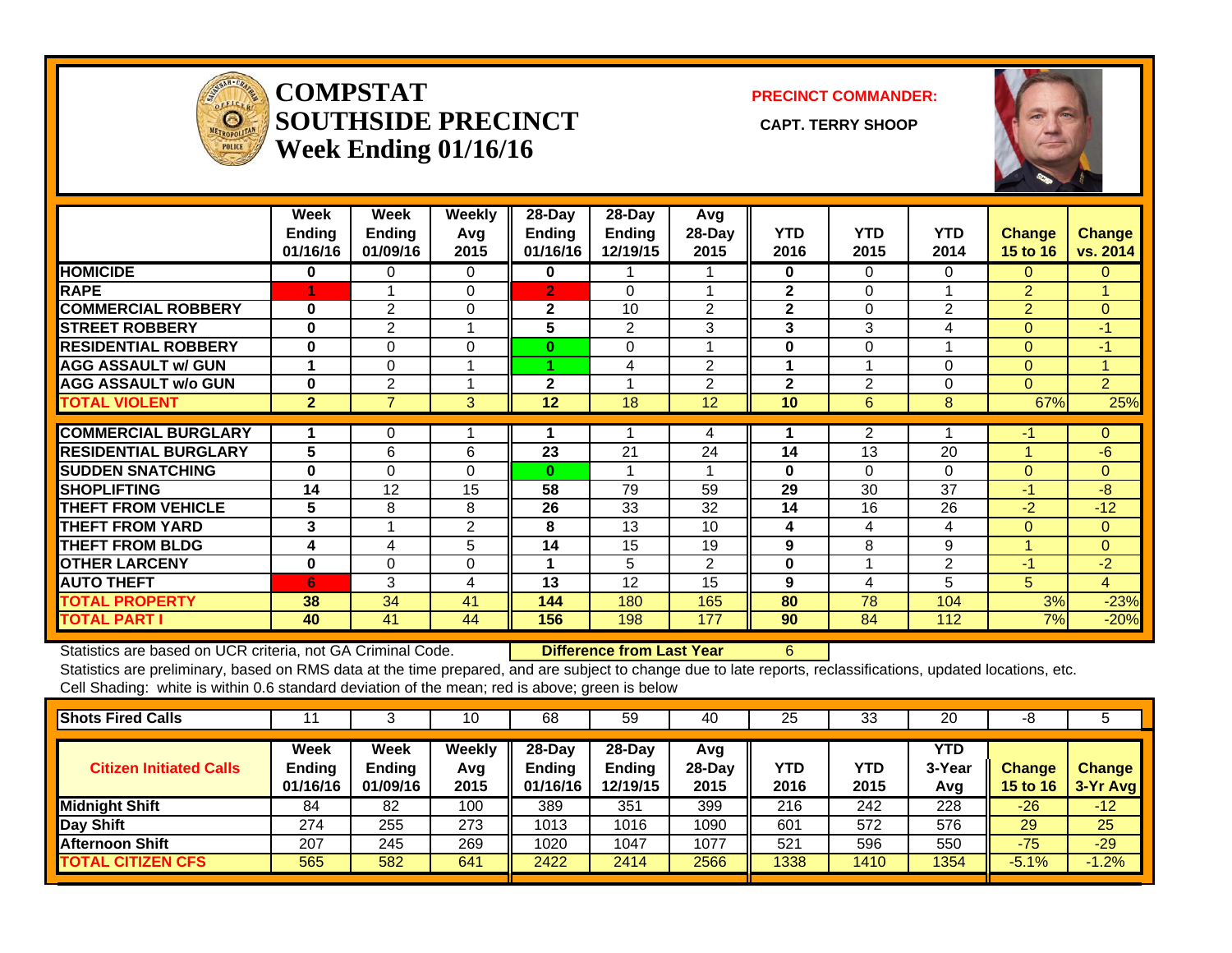

#### **COMPSTATSOUTHSIDE PRECINCT** CAPT. TERRY SHOOP **Week Ending 01/16/16**

**PRECINCT COMMANDER:**



|                             | Week<br><b>Ending</b><br>01/16/16 | Week<br><b>Ending</b><br>01/09/16 | Weekly<br>Avg<br>2015 | 28-Day<br><b>Endina</b><br>01/16/16 | $28$ -Day<br><b>Ending</b><br>12/19/15 | Avg<br>28-Day<br>2015 | <b>YTD</b><br>2016 | <b>YTD</b><br>2015 | <b>YTD</b><br>2014 | <b>Change</b><br><b>15 to 16</b> | Change<br>vs. 2014 |
|-----------------------------|-----------------------------------|-----------------------------------|-----------------------|-------------------------------------|----------------------------------------|-----------------------|--------------------|--------------------|--------------------|----------------------------------|--------------------|
| <b>HOMICIDE</b>             | 0                                 | 0                                 | 0                     | 0                                   |                                        |                       | 0                  | 0                  | 0                  | 0                                | 0                  |
| <b>RAPE</b>                 | 4                                 |                                   | $\Omega$              | $\overline{2}$                      | $\Omega$                               |                       | $\mathbf{2}$       | 0                  |                    | $\overline{2}$                   |                    |
| <b>COMMERCIAL ROBBERY</b>   | $\bf{0}$                          | $\overline{2}$                    | $\mathbf 0$           | $\mathbf{2}$                        | 10                                     | $\overline{2}$        | $\mathbf{2}$       | 0                  | 2                  | $\overline{2}$                   | $\mathbf{0}$       |
| <b>STREET ROBBERY</b>       | $\bf{0}$                          | $\overline{2}$                    | 1                     | 5                                   | $\overline{2}$                         | 3                     | 3                  | 3                  | 4                  | $\Omega$                         | $-1$               |
| <b>RESIDENTIAL ROBBERY</b>  | $\bf{0}$                          | $\Omega$                          | $\Omega$              | 0                                   | 0                                      |                       | $\bf{0}$           | 0                  |                    | $\Omega$                         | -1                 |
| <b>AGG ASSAULT w/ GUN</b>   |                                   | 0                                 | 4                     |                                     | 4                                      | $\overline{2}$        | 1                  |                    | $\Omega$           | $\Omega$                         | и                  |
| <b>AGG ASSAULT w/o GUN</b>  | $\bf{0}$                          | $\overline{2}$                    |                       | 2                                   |                                        | $\overline{2}$        | $\mathbf 2$        | $\overline{2}$     | $\Omega$           | $\Omega$                         | $\overline{2}$     |
| <b>TOTAL VIOLENT</b>        | $\overline{2}$                    | $\overline{7}$                    | 3                     | 12                                  | 18                                     | 12                    | 10 <sup>°</sup>    | 6                  | 8                  | 67%                              | 25%                |
| <b>COMMERCIAL BURGLARY</b>  |                                   | 0                                 |                       |                                     |                                        | 4                     |                    | 2                  |                    | -1                               | $\mathbf{0}$       |
|                             | 5                                 |                                   |                       | 23                                  | 21                                     | 24                    | 14                 | 13                 | 20                 |                                  | $-6$               |
| <b>RESIDENTIAL BURGLARY</b> |                                   | 6                                 | 6                     |                                     |                                        |                       |                    |                    |                    |                                  |                    |
| <b>SUDDEN SNATCHING</b>     | 0                                 | 0                                 | $\Omega$              | $\bf{0}$                            |                                        |                       | $\bf{0}$           | 0                  | $\Omega$           | $\mathbf{0}$                     | $\mathbf{0}$       |
| <b>SHOPLIFTING</b>          | 14                                | 12                                | 15                    | 58                                  | 79                                     | 59                    | 29                 | 30                 | 37                 | -1                               | $-8$               |
| <b>THEFT FROM VEHICLE</b>   | 5                                 | 8                                 | 8                     | 26                                  | 33                                     | 32                    | 14                 | 16                 | 26                 | $-2$                             | $-12$              |
| <b>THEFT FROM YARD</b>      | 3                                 |                                   | 2                     | 8                                   | 13                                     | 10                    | 4                  | 4                  | 4                  | $\overline{0}$                   | $\overline{0}$     |
| <b>THEFT FROM BLDG</b>      | 4                                 | 4                                 | 5                     | 14                                  | 15                                     | 19                    | 9                  | 8                  | 9                  |                                  | $\Omega$           |
| <b>OTHER LARCENY</b>        | $\bf{0}$                          | $\Omega$                          | $\Omega$              | 1                                   | 5                                      | $\overline{2}$        | $\bf{0}$           |                    | $\overline{2}$     | $-1$                             | $-2$               |
| <b>AUTO THEFT</b>           | 6                                 | 3                                 | 4                     | 13                                  | 12                                     | 15                    | 9                  | 4                  | 5                  | 5.                               | 4                  |
| <b>TOTAL PROPERTY</b>       | 38                                | 34                                | 41                    | 144                                 | 180                                    | 165                   | 80                 | 78                 | 104                | 3%                               | $-23%$             |
| <b>TOTAL PART I</b>         | 40                                | 41                                | 44                    | 156                                 | 198                                    | 177                   | 90                 | 84                 | 112                | 7%                               | $-20%$             |

Statistics are based on UCR criteria, not GA Criminal Code. **Difference from Last Year** 6

| <b>Shots Fired Calls</b>       |                                   |                            | 10                    | 68                                  | 59                                    | 40                      | 25          | 33          | 20                    | -8                               |                           |
|--------------------------------|-----------------------------------|----------------------------|-----------------------|-------------------------------------|---------------------------------------|-------------------------|-------------|-------------|-----------------------|----------------------------------|---------------------------|
| <b>Citizen Initiated Calls</b> | Week<br><b>Ending</b><br>01/16/16 | Week<br>Ending<br>01/09/16 | Weekly<br>Avg<br>2015 | 28-Day<br><b>Endina</b><br>01/16/16 | $28-Dav$<br><b>Ending</b><br>12/19/15 | Avg<br>$28-Day$<br>2015 | YTD<br>2016 | YTD<br>2015 | YTD.<br>3-Year<br>Avg | <b>Change</b><br><b>15 to 16</b> | <b>Change</b><br>3-Yr Avg |
| <b>Midnight Shift</b>          | 84                                | 82                         | 100                   | 389                                 | 351                                   | 399                     | 216         | 242         | 228                   | $-26$                            | $-12$                     |
| <b>Day Shift</b>               | 274                               | 255                        | 273                   | 1013                                | 1016                                  | 1090                    | 601         | 572         | 576                   | 29                               | 25                        |
| <b>Afternoon Shift</b>         | 207                               | 245                        | 269                   | 1020                                | 1047                                  | 1077                    | 521         | 596         | 550                   | $-75$                            | $-29$                     |
| <b>TOTAL CITIZEN CFS</b>       | 565                               | 582                        | 641                   | 2422                                | 2414                                  | 2566                    | 1338        | 1410        | 1354                  | $-5.1%$                          | $-1.2%$                   |